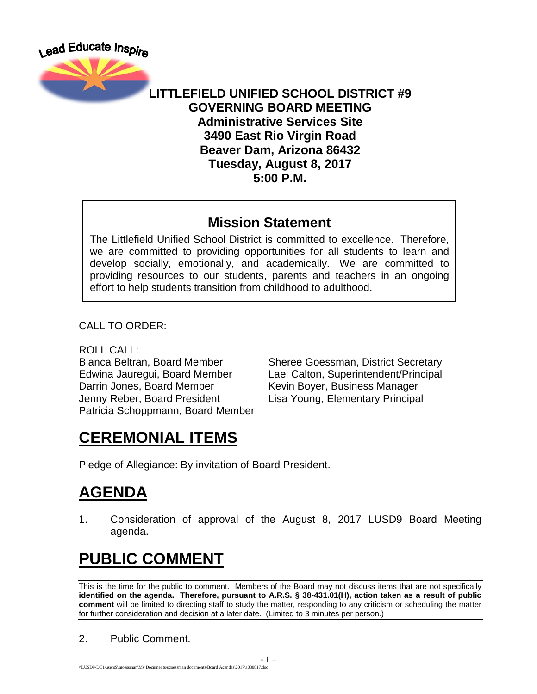



#### **LITTLEFIELD UNIFIED SCHOOL DISTRICT #9 GOVERNING BOARD MEETING Administrative Services Site 3490 East Rio Virgin Road Beaver Dam, Arizona 86432 Tuesday, August 8, 2017 5:00 P.M.**

#### **Mission Statement**

The Littlefield Unified School District is committed to excellence. Therefore, we are committed to providing opportunities for all students to learn and develop socially, emotionally, and academically. We are committed to providing resources to our students, parents and teachers in an ongoing effort to help students transition from childhood to adulthood.

CALL TO ORDER:

ROLL CALL:

Darrin Jones, Board Member Kevin Boyer, Business Manager Jenny Reber, Board President Lisa Young, Elementary Principal Patricia Schoppmann, Board Member

Blanca Beltran, Board Member Sheree Goessman, District Secretary Edwina Jauregui, Board Member Lael Calton, Superintendent/Principal

## **CEREMONIAL ITEMS**

Pledge of Allegiance: By invitation of Board President.

## **AGENDA**

1. Consideration of approval of the August 8, 2017 LUSD9 Board Meeting agenda.

# **PUBLIC COMMENT**

This is the time for the public to comment. Members of the Board may not discuss items that are not specifically **identified on the agenda. Therefore, pursuant to A.R.S. § 38-431.01(H), action taken as a result of public comment** will be limited to directing staff to study the matter, responding to any criticism or scheduling the matter for further consideration and decision at a later date. (Limited to 3 minutes per person.)

#### 2. Public Comment.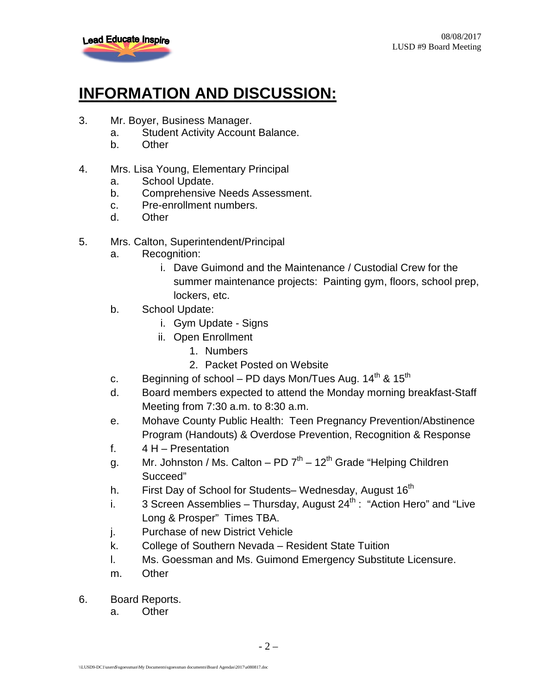

### **INFORMATION AND DISCUSSION:**

- 3. Mr. Boyer, Business Manager.
	- a. Student Activity Account Balance.
	- b. Other
- 4. Mrs. Lisa Young, Elementary Principal
	- a. School Update.
	- b. Comprehensive Needs Assessment.
	- c. Pre-enrollment numbers.
	- d. Other
- 5. Mrs. Calton, Superintendent/Principal
	- a. Recognition:
		- i. Dave Guimond and the Maintenance / Custodial Crew for the summer maintenance projects: Painting gym, floors, school prep, lockers, etc.
	- b. School Update:
		- i. Gym Update Signs
		- ii. Open Enrollment
			- 1. Numbers
			- 2. Packet Posted on Website
	- c. Beginning of school PD days Mon/Tues Aug.  $14^{th}$  &  $15^{th}$
	- d. Board members expected to attend the Monday morning breakfast-Staff Meeting from 7:30 a.m. to 8:30 a.m.
	- e. Mohave County Public Health: Teen Pregnancy Prevention/Abstinence Program (Handouts) & Overdose Prevention, Recognition & Response
	- f. 4 H Presentation
	- g. Mr. Johnston / Ms. Calton PD  $7<sup>th</sup>$  12<sup>th</sup> Grade "Helping Children" Succeed"
	- h. First Day of School for Students– Wednesday, August 16<sup>th</sup>
	- i.  $3$  Screen Assemblies Thursday, August 24<sup>th</sup> : "Action Hero" and "Live Long & Prosper" Times TBA.
	- j. Purchase of new District Vehicle
	- k. College of Southern Nevada Resident State Tuition
	- l. Ms. Goessman and Ms. Guimond Emergency Substitute Licensure.
	- m. Other
- 6. Board Reports.
	- a. Other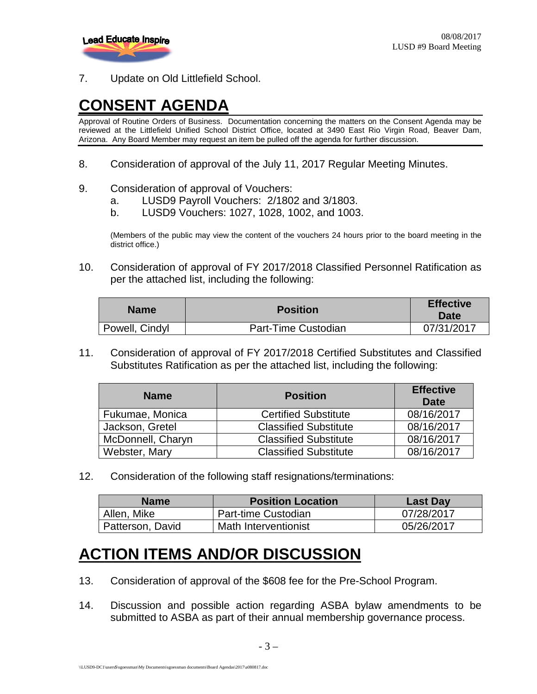

7. Update on Old Littlefield School.

### **CONSENT AGENDA**

Approval of Routine Orders of Business. Documentation concerning the matters on the Consent Agenda may be reviewed at the Littlefield Unified School District Office, located at 3490 East Rio Virgin Road, Beaver Dam, Arizona. Any Board Member may request an item be pulled off the agenda for further discussion.

- 8. Consideration of approval of the July 11, 2017 Regular Meeting Minutes.
- 9. Consideration of approval of Vouchers:
	- a. LUSD9 Payroll Vouchers: 2/1802 and 3/1803.
	- b. LUSD9 Vouchers: 1027, 1028, 1002, and 1003.

(Members of the public may view the content of the vouchers 24 hours prior to the board meeting in the district office.)

10. Consideration of approval of FY 2017/2018 Classified Personnel Ratification as per the attached list, including the following:

| <b>Name</b>    | <b>Position</b>     | <b>Effective</b><br><b>Date</b> |
|----------------|---------------------|---------------------------------|
| Powell, Cindyl | Part-Time Custodian | 07/31/2017                      |

11. Consideration of approval of FY 2017/2018 Certified Substitutes and Classified Substitutes Ratification as per the attached list, including the following:

| <b>Name</b>       | <b>Position</b>              | <b>Effective</b><br><b>Date</b> |
|-------------------|------------------------------|---------------------------------|
| Fukumae, Monica   | <b>Certified Substitute</b>  | 08/16/2017                      |
| Jackson, Gretel   | <b>Classified Substitute</b> | 08/16/2017                      |
| McDonnell, Charyn | <b>Classified Substitute</b> | 08/16/2017                      |
| Webster, Mary     | <b>Classified Substitute</b> | 08/16/2017                      |

12. Consideration of the following staff resignations/terminations:

| <b>Name</b>      | <b>Position Location</b>   | Last Day   |
|------------------|----------------------------|------------|
| Allen, Mike      | <b>Part-time Custodian</b> | 07/28/2017 |
| Patterson, David | Math Interventionist       | 05/26/2017 |

### **ACTION ITEMS AND/OR DISCUSSION**

- 13. Consideration of approval of the \$608 fee for the Pre-School Program.
- 14. Discussion and possible action regarding ASBA bylaw amendments to be submitted to ASBA as part of their annual membership governance process.